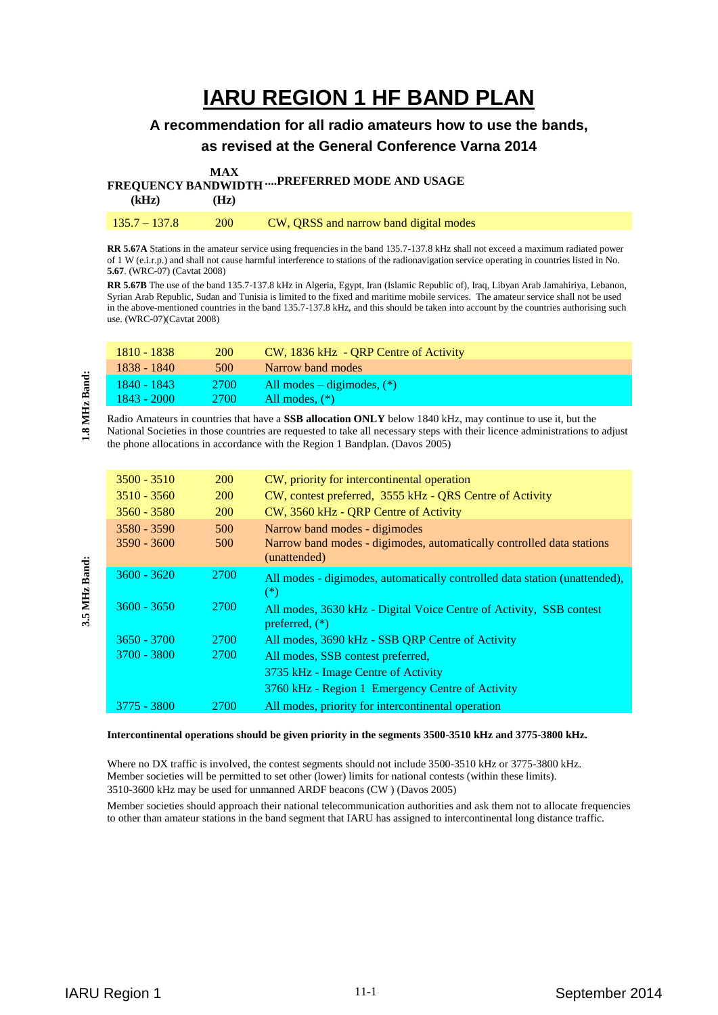# **IARU REGION 1 HF BAND PLAN**

## **A recommendation for all radio amateurs how to use the bands, as revised at the General Conference Varna 2014**

**FREQUENCY BANDWIDTH ....PREFERRED MODE AND USAGE MAX** 

| $1.444$ $0.441$ $0.441$ $0.441$ $0.441$<br>(kHz) | (Hz)       |                                               |
|--------------------------------------------------|------------|-----------------------------------------------|
| $135.7 - 137.8$                                  | <b>200</b> | <b>CW, QRSS and narrow band digital modes</b> |

**RR 5.67A** Stations in the amateur service using frequencies in the band 135.7-137.8 kHz shall not exceed a maximum radiated power of 1 W (e.i.r.p.) and shall not cause harmful interference to stations of the radionavigation service operating in countries listed in No. **5.67**. (WRC-07) (Cavtat 2008)

**RR 5.67B** The use of the band 135.7-137.8 kHz in Algeria, Egypt, Iran (Islamic Republic of), Iraq, Libyan Arab Jamahiriya, Lebanon, Syrian Arab Republic, Sudan and Tunisia is limited to the fixed and maritime mobile services. The amateur service shall not be used in the above-mentioned countries in the band 135.7-137.8 kHz, and this should be taken into account by the countries authorising such use. (WRC-07)(Cavtat 2008)

| 1810 - 1838   | <b>200</b>      | CW, 1836 kHz - QRP Centre of Activity |
|---------------|-----------------|---------------------------------------|
| 1838 - 1840   | 500             | Narrow band modes                     |
| $1840 - 1843$ | <sup>2700</sup> | All modes $-$ digimodes, $(*)$        |
| $1843 - 2000$ | 2700            | All modes, $(*)$                      |

Radio Amateurs in countries that have a **SSB allocation ONLY** below 1840 kHz, may continue to use it, but the National Societies in those countries are requested to take all necessary steps with their licence administrations to adjust the phone allocations in accordance with the Region 1 Bandplan. (Davos 2005)

| $3500 - 3510$                  | <b>200</b> | CW, priority for intercontinental operation                                                                            |
|--------------------------------|------------|------------------------------------------------------------------------------------------------------------------------|
| $3510 - 3560$                  | <b>200</b> | CW, contest preferred, 3555 kHz - QRS Centre of Activity                                                               |
| $3560 - 3580$                  | <b>200</b> | CW, 3560 kHz - QRP Centre of Activity                                                                                  |
| $3580 - 3590$<br>$3590 - 3600$ | 500<br>500 | Narrow band modes - digimodes<br>Narrow band modes - digimodes, automatically controlled data stations<br>(unattended) |
| $3600 - 3620$                  | 2700       | All modes - digimodes, automatically controlled data station (unattended),<br>$(*)$                                    |
| $3600 - 3650$                  | 2700       | All modes, 3630 kHz - Digital Voice Centre of Activity, SSB contest<br>preferred, $(*)$                                |
| $3650 - 3700$                  | 2700       | All modes, 3690 kHz - SSB QRP Centre of Activity                                                                       |
| $3700 - 3800$                  | 2700       | All modes, SSB contest preferred,                                                                                      |
|                                |            | 3735 kHz - Image Centre of Activity                                                                                    |
|                                |            | 3760 kHz - Region 1 Emergency Centre of Activity                                                                       |
| 3775 - 3800                    | 2700       | All modes, priority for intercontinental operation                                                                     |

#### **Intercontinental operations should be given priority in the segments 3500-3510 kHz and 3775-3800 kHz.**

Where no DX traffic is involved, the contest segments should not include 3500-3510 kHz or 3775-3800 kHz. Member societies will be permitted to set other (lower) limits for national contests (within these limits). 3510-3600 kHz may be used for unmanned ARDF beacons (CW ) (Davos 2005)

Member societies should approach their national telecommunication authorities and ask them not to allocate frequencies to other than amateur stations in the band segment that IARU has assigned to intercontinental long distance traffic.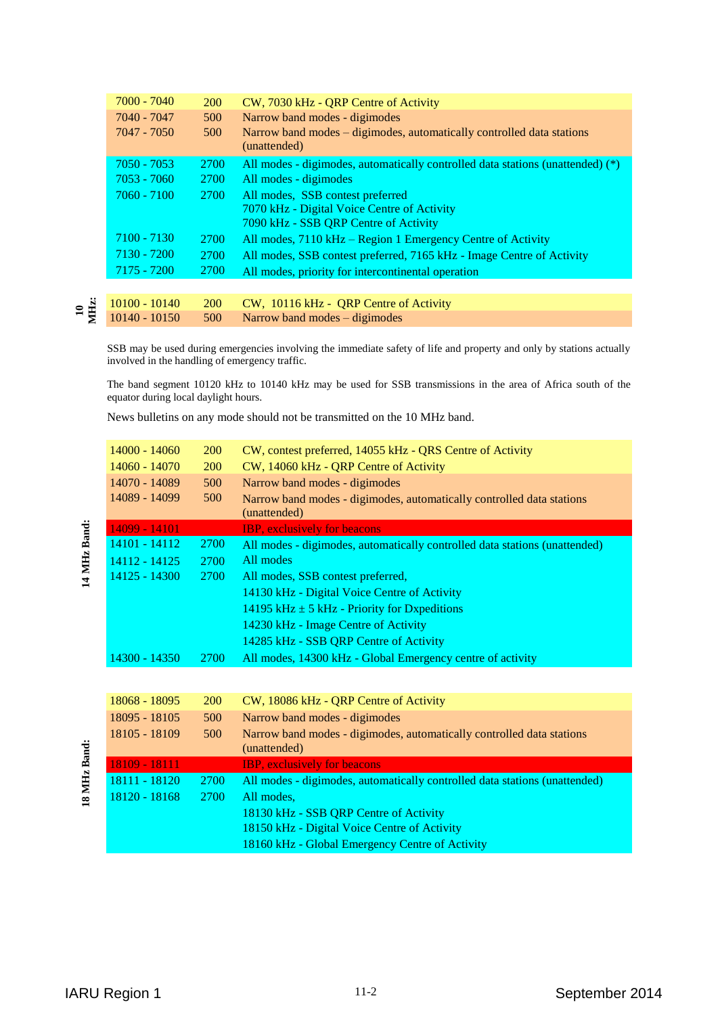| 7000 - 7040   | <b>200</b> | CW, 7030 kHz - QRP Centre of Activity                                                 |
|---------------|------------|---------------------------------------------------------------------------------------|
| 7040 - 7047   | 500        | Narrow band modes - digimodes                                                         |
| $7047 - 7050$ | 500        | Narrow band modes – digimodes, automatically controlled data stations<br>(unattended) |
| $7050 - 7053$ | 2700       | All modes - digimodes, automatically controlled data stations (unattended) (*)        |
| $7053 - 7060$ | 2700       | All modes - digimodes                                                                 |
| $7060 - 7100$ | 2700       | All modes, SSB contest preferred                                                      |
|               |            | 7070 kHz - Digital Voice Centre of Activity<br>7090 kHz - SSB QRP Centre of Activity  |
| $7100 - 7130$ | 2700       | All modes, 7110 kHz – Region 1 Emergency Centre of Activity                           |
|               |            |                                                                                       |
| 7130 - 7200   | 2700       | All modes, SSB contest preferred, 7165 kHz - Image Centre of Activity                 |
| 7175 - 7200   | 2700       | All modes, priority for intercontinental operation                                    |
|               |            |                                                                                       |
|               |            |                                                                                       |

#### **10 MHz:** 10100 - 10140 200 CW, 10116 kHz - QRP Centre of Activity  $10140 - 10150$  500 Narrow band modes – digimodes

SSB may be used during emergencies involving the immediate safety of life and property and only by stations actually involved in the handling of emergency traffic.

The band segment 10120 kHz to 10140 kHz may be used for SSB transmissions in the area of Africa south of the equator during local daylight hours.

News bulletins on any mode should not be transmitted on the 10 MHz band.

| 14000 - 14060 | <b>200</b>  | CW, contest preferred, 14055 kHz - QRS Centre of Activity                             |
|---------------|-------------|---------------------------------------------------------------------------------------|
| 14060 - 14070 | <b>200</b>  | CW, 14060 kHz - QRP Centre of Activity                                                |
| 14070 - 14089 | 500         | Narrow band modes - digimodes                                                         |
| 14089 - 14099 | 500         | Narrow band modes - digimodes, automatically controlled data stations<br>(unattended) |
| 14099 - 14101 |             | <b>IBP, exclusively for beacons</b>                                                   |
| 14101 - 14112 | <b>2700</b> | All modes - digimodes, automatically controlled data stations (unattended)            |
| 14112 - 14125 | 2700        | All modes                                                                             |
| 14125 - 14300 | <b>2700</b> | All modes, SSB contest preferred,                                                     |
|               |             | 14130 kHz - Digital Voice Centre of Activity                                          |
|               |             | 14195 kHz $\pm$ 5 kHz - Priority for Dxpeditions                                      |
|               |             | 14230 kHz - Image Centre of Activity                                                  |
|               |             | 14285 kHz - SSB QRP Centre of Activity                                                |
| 14300 - 14350 | <b>2700</b> | All modes, 14300 kHz - Global Emergency centre of activity                            |

| 18068 - 18095 | <b>200</b>  | CW, 18086 kHz - QRP Centre of Activity                                                |
|---------------|-------------|---------------------------------------------------------------------------------------|
| 18095 - 18105 | 500         | Narrow band modes - digimodes                                                         |
| 18105 - 18109 | 500         | Narrow band modes - digimodes, automatically controlled data stations<br>(unattended) |
| 18109 - 18111 |             | <b>IBP</b> , exclusively for beacons                                                  |
| 18111 - 18120 | <b>2700</b> | All modes - digimodes, automatically controlled data stations (unattended)            |
| 18120 - 18168 | <b>2700</b> | All modes.                                                                            |
|               |             | 18130 kHz - SSB QRP Centre of Activity                                                |
|               |             | 18150 kHz - Digital Voice Centre of Activity                                          |
|               |             | 18160 kHz - Global Emergency Centre of Activity                                       |

14 MHz Band: **14 MHz Band:**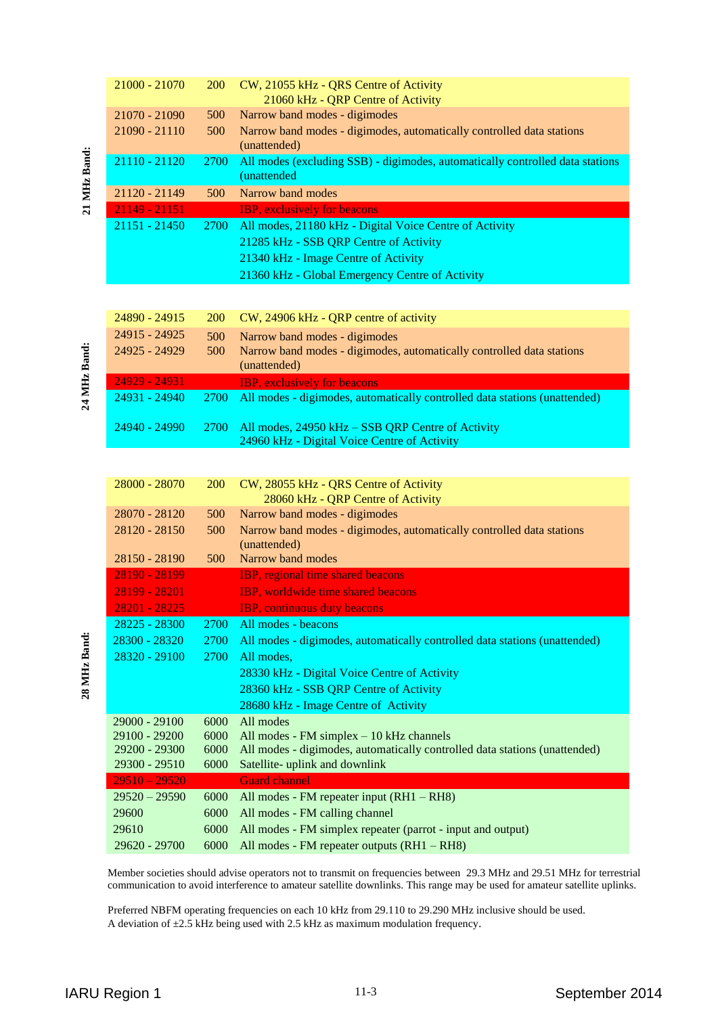|              | 21000 - 21070                    | 200        | CW, 21055 kHz - QRS Centre of Activity                                                                                                                                                                                                              |                |
|--------------|----------------------------------|------------|-----------------------------------------------------------------------------------------------------------------------------------------------------------------------------------------------------------------------------------------------------|----------------|
|              |                                  |            | 21060 kHz - QRP Centre of Activity<br>Narrow band modes - digimodes                                                                                                                                                                                 |                |
|              | 21070 - 21090<br>21090 - 21110   | 500<br>500 | Narrow band modes - digimodes, automatically controlled data stations                                                                                                                                                                               |                |
|              |                                  |            | (unattended)                                                                                                                                                                                                                                        |                |
| 21 MHz Band: | 21110 - 21120                    | 2700       | All modes (excluding SSB) - digimodes, automatically controlled data stations<br>(unattended                                                                                                                                                        |                |
|              | 21120 - 21149                    | 500        | Narrow band modes                                                                                                                                                                                                                                   |                |
|              | 21149 - 21151<br>$21151 - 21450$ | 2700       | <b>IBP</b> , exclusively for beacons<br>All modes, 21180 kHz - Digital Voice Centre of Activity                                                                                                                                                     |                |
|              |                                  |            | 21285 kHz - SSB QRP Centre of Activity                                                                                                                                                                                                              |                |
|              |                                  |            | 21340 kHz - Image Centre of Activity                                                                                                                                                                                                                |                |
|              |                                  |            | 21360 kHz - Global Emergency Centre of Activity                                                                                                                                                                                                     |                |
|              |                                  |            |                                                                                                                                                                                                                                                     |                |
|              | 24890 - 24915                    | 200        | CW, 24906 kHz - QRP centre of activity                                                                                                                                                                                                              |                |
|              | 24915 - 24925                    | 500        | Narrow band modes - digimodes                                                                                                                                                                                                                       |                |
|              | 24925 - 24929                    | 500        | Narrow band modes - digimodes, automatically controlled data stations                                                                                                                                                                               |                |
|              |                                  |            | (unattended)                                                                                                                                                                                                                                        |                |
|              | 24929 - 24931                    |            | <b>IBP</b> , exclusively for beacons                                                                                                                                                                                                                |                |
|              | 24931 - 24940                    | 2700       | All modes - digimodes, automatically controlled data stations (unattended)                                                                                                                                                                          |                |
|              | 24940 - 24990                    | 2700       | All modes, 24950 kHz - SSB QRP Centre of Activity                                                                                                                                                                                                   |                |
|              |                                  |            | 24960 kHz - Digital Voice Centre of Activity                                                                                                                                                                                                        |                |
|              |                                  |            |                                                                                                                                                                                                                                                     |                |
|              | 28000 - 28070                    | 200        | CW, 28055 kHz - QRS Centre of Activity                                                                                                                                                                                                              |                |
|              |                                  |            | 28060 kHz - QRP Centre of Activity                                                                                                                                                                                                                  |                |
|              | 28070 - 28120                    | 500        | Narrow band modes - digimodes                                                                                                                                                                                                                       |                |
|              | 28120 - 28150                    | 500        | Narrow band modes - digimodes, automatically controlled data stations                                                                                                                                                                               |                |
|              |                                  |            | (unattended)                                                                                                                                                                                                                                        |                |
|              | 28150 - 28190                    | 500        | Narrow band modes                                                                                                                                                                                                                                   |                |
|              | 28190 - 28199                    |            | IBP, regional time shared beacons                                                                                                                                                                                                                   |                |
|              | 28199 - 28201                    |            | IBP, worldwide time shared beacons                                                                                                                                                                                                                  |                |
|              | 28201 - 28225<br>28225 - 28300   | 2700       | <b>IBP, continuous duty beacons</b><br>All modes - beacons                                                                                                                                                                                          |                |
|              | 28300 - 28320                    | 2700       | All modes - digimodes, automatically controlled data stations (unattended)                                                                                                                                                                          |                |
|              | 28320 - 29100                    | 2700       | All modes,                                                                                                                                                                                                                                          |                |
|              |                                  |            | 28330 kHz - Digital Voice Centre of Activity                                                                                                                                                                                                        |                |
|              |                                  |            | 28360 kHz - SSB QRP Centre of Activity                                                                                                                                                                                                              |                |
|              |                                  |            | 28680 kHz - Image Centre of Activity                                                                                                                                                                                                                |                |
|              | 29000 - 29100                    | 6000       | All modes                                                                                                                                                                                                                                           |                |
|              | 29100 - 29200                    | 6000       | All modes - $FM$ simplex $-10$ kHz channels                                                                                                                                                                                                         |                |
|              | 29200 - 29300                    | 6000       | All modes - digimodes, automatically controlled data stations (unattended)                                                                                                                                                                          |                |
|              | 29300 - 29510                    | 6000       | Satellite- uplink and downlink                                                                                                                                                                                                                      |                |
|              | $29510 - 29520$                  |            | <b>Guard channel</b>                                                                                                                                                                                                                                |                |
|              | $29520 - 29590$                  | 6000       | All modes - FM repeater input (RH1 - RH8)                                                                                                                                                                                                           |                |
|              | 29600                            | 6000       | All modes - FM calling channel                                                                                                                                                                                                                      |                |
|              | 29610                            | 6000       | All modes - FM simplex repeater (parrot - input and output)                                                                                                                                                                                         |                |
|              | 29620 - 29700                    | 6000       | All modes - FM repeater outputs (RH1 - RH8)                                                                                                                                                                                                         |                |
|              |                                  |            | Member societies should advise operators not to transmit on frequencies between 29.3 MHz and 29.51 MHz for terrestrial<br>communication to avoid interference to amateur satellite downlinks. This range may be used for amateur satellite uplinks. |                |
|              |                                  |            | Preferred NBFM operating frequencies on each 10 kHz from 29.110 to 29.290 MHz inclusive should be used.<br>A deviation of $\pm 2.5$ kHz being used with 2.5 kHz as maximum modulation frequency.                                                    |                |
|              | <b>IARU Region 1</b>             |            | $11-3$                                                                                                                                                                                                                                              | September 2014 |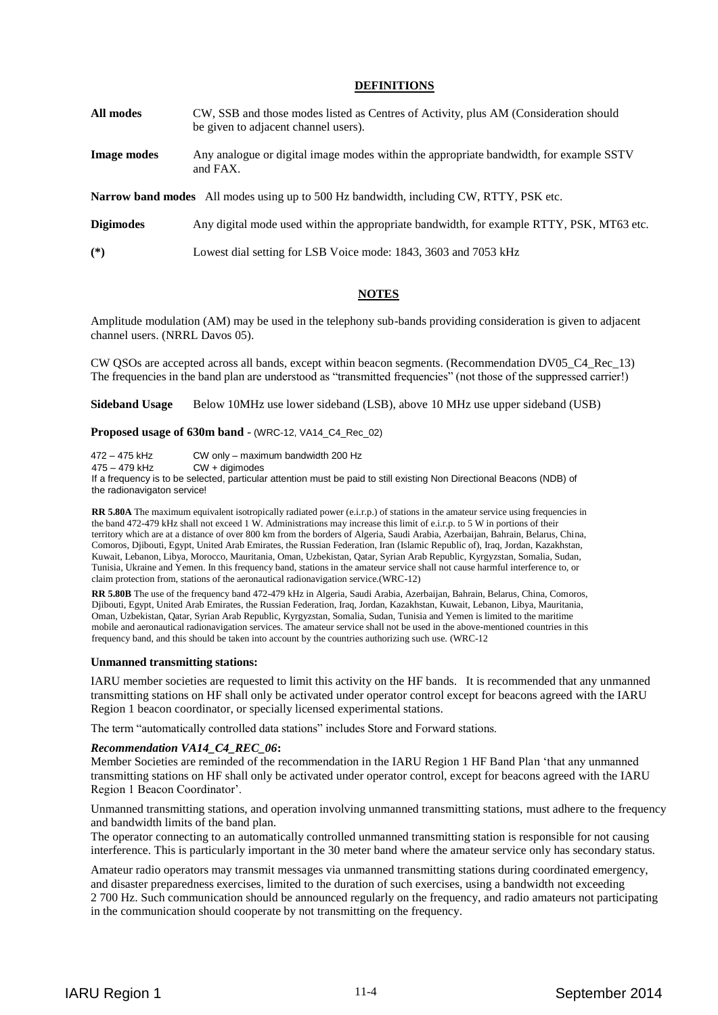### **DEFINITIONS**

- **All modes** CW, SSB and those modes listed as Centres of Activity, plus AM (Consideration should be given to adjacent channel users).
- **Image modes** Any analogue or digital image modes within the appropriate bandwidth, for example SSTV and FAX.

**Narrow band modes** All modes using up to 500 Hz bandwidth, including CW, RTTY, PSK etc.

**Digimodes** Any digital mode used within the appropriate bandwidth, for example RTTY, PSK, MT63 etc.

**(\*)** Lowest dial setting for LSB Voice mode: 1843, 3603 and 7053 kHz

### **NOTES**

Amplitude modulation (AM) may be used in the telephony sub-bands providing consideration is given to adjacent channel users. (NRRL Davos 05).

CW QSOs are accepted across all bands, except within beacon segments. (Recommendation DV05\_C4\_Rec\_13) The frequencies in the band plan are understood as "transmitted frequencies" (not those of the suppressed carrier!)

**Sideband Usage** Below 10MHz use lower sideband (LSB), above 10 MHz use upper sideband (USB)

#### **Proposed usage of 630m band** - (WRC-12, VA14\_C4\_Rec\_02)

472 – 475 kHz CW only – maximum bandwidth 200 Hz

 $CW + \ddot{\text{d}}$  aigmodes

If a frequency is to be selected, particular attention must be paid to still existing Non Directional Beacons (NDB) of the radionavigaton service!

**RR 5.80A** The maximum equivalent isotropically radiated power (e.i.r.p.) of stations in the amateur service using frequencies in the band 472-479 kHz shall not exceed 1 W. Administrations may increase this limit of e.i.r.p. to 5 W in portions of their territory which are at a distance of over 800 km from the borders of Algeria, Saudi Arabia, Azerbaijan, Bahrain, Belarus, China, Comoros, Djibouti, Egypt, United Arab Emirates, the Russian Federation, Iran (Islamic Republic of), Iraq, Jordan, Kazakhstan, Kuwait, Lebanon, Libya, Morocco, Mauritania, Oman, Uzbekistan, Qatar, Syrian Arab Republic, Kyrgyzstan, Somalia, Sudan, Tunisia, Ukraine and Yemen. In this frequency band, stations in the amateur service shall not cause harmful interference to, or claim protection from, stations of the aeronautical radionavigation service.(WRC-12)

**RR 5.80B** The use of the frequency band 472-479 kHz in Algeria, Saudi Arabia, Azerbaijan, Bahrain, Belarus, China, Comoros, Djibouti, Egypt, United Arab Emirates, the Russian Federation, Iraq, Jordan, Kazakhstan, Kuwait, Lebanon, Libya, Mauritania, Oman, Uzbekistan, Qatar, Syrian Arab Republic, Kyrgyzstan, Somalia, Sudan, Tunisia and Yemen is limited to the maritime mobile and aeronautical radionavigation services. The amateur service shall not be used in the above-mentioned countries in this frequency band, and this should be taken into account by the countries authorizing such use. (WRC-12

#### **Unmanned transmitting stations:**

IARU member societies are requested to limit this activity on the HF bands. It is recommended that any unmanned transmitting stations on HF shall only be activated under operator control except for beacons agreed with the IARU Region 1 beacon coordinator, or specially licensed experimental stations.

The term "automatically controlled data stations" includes Store and Forward stations.

#### *Recommendation VA14\_C4\_REC\_06***:**

Member Societies are reminded of the recommendation in the IARU Region 1 HF Band Plan 'that any unmanned transmitting stations on HF shall only be activated under operator control, except for beacons agreed with the IARU Region 1 Beacon Coordinator'.

Unmanned transmitting stations, and operation involving unmanned transmitting stations, must adhere to the frequency and bandwidth limits of the band plan.

The operator connecting to an automatically controlled unmanned transmitting station is responsible for not causing interference. This is particularly important in the 30 meter band where the amateur service only has secondary status.

Amateur radio operators may transmit messages via unmanned transmitting stations during coordinated emergency, and disaster preparedness exercises, limited to the duration of such exercises, using a bandwidth not exceeding 2 700 Hz. Such communication should be announced regularly on the frequency, and radio amateurs not participating in the communication should cooperate by not transmitting on the frequency.